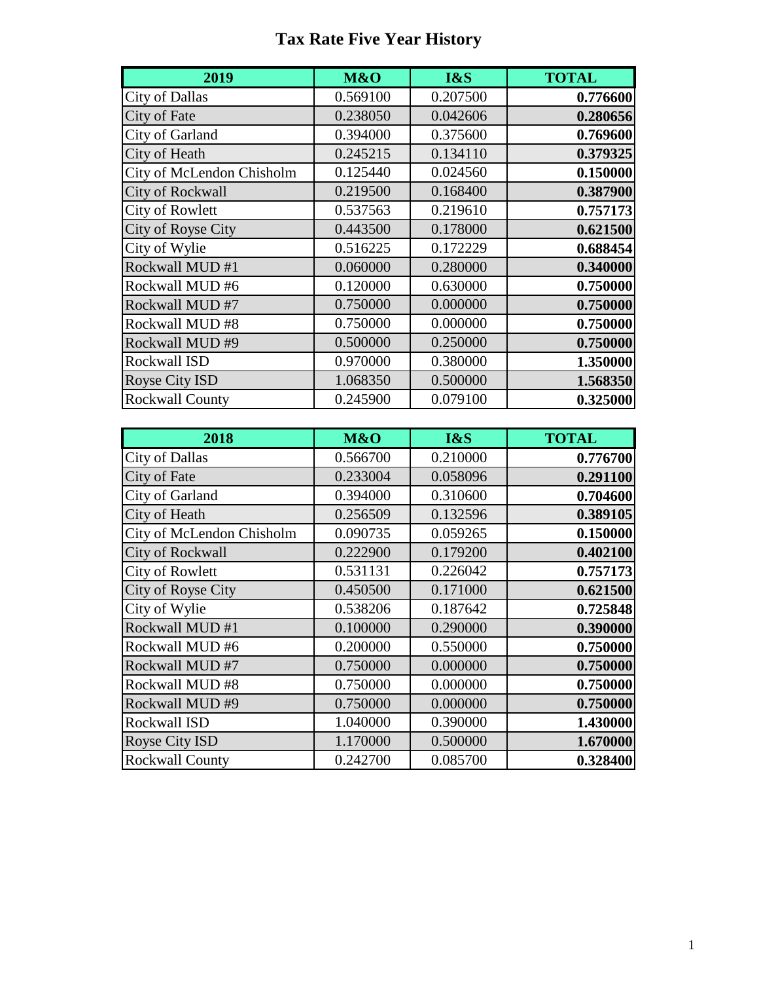## **Tax Rate Five Year History**

| 2019                      | M&O      | I&S      | <b>TOTAL</b> |
|---------------------------|----------|----------|--------------|
| <b>City of Dallas</b>     | 0.569100 | 0.207500 | 0.776600     |
| City of Fate              | 0.238050 | 0.042606 | 0.280656     |
| City of Garland           | 0.394000 | 0.375600 | 0.769600     |
| City of Heath             | 0.245215 | 0.134110 | 0.379325     |
| City of McLendon Chisholm | 0.125440 | 0.024560 | 0.150000     |
| <b>City of Rockwall</b>   | 0.219500 | 0.168400 | 0.387900     |
| <b>City of Rowlett</b>    | 0.537563 | 0.219610 | 0.757173     |
| City of Royse City        | 0.443500 | 0.178000 | 0.621500     |
| City of Wylie             | 0.516225 | 0.172229 | 0.688454     |
| Rockwall MUD #1           | 0.060000 | 0.280000 | 0.340000     |
| Rockwall MUD #6           | 0.120000 | 0.630000 | 0.750000     |
| Rockwall MUD #7           | 0.750000 | 0.000000 | 0.750000     |
| Rockwall MUD#8            | 0.750000 | 0.000000 | 0.750000     |
| Rockwall MUD #9           | 0.500000 | 0.250000 | 0.750000     |
| Rockwall ISD              | 0.970000 | 0.380000 | 1.350000     |
| <b>Royse City ISD</b>     | 1.068350 | 0.500000 | 1.568350     |
| <b>Rockwall County</b>    | 0.245900 | 0.079100 | 0.325000     |

| 2018                      | M&O      | I&S      | <b>TOTAL</b> |
|---------------------------|----------|----------|--------------|
| <b>City of Dallas</b>     | 0.566700 | 0.210000 | 0.776700     |
| City of Fate              | 0.233004 | 0.058096 | 0.291100     |
| City of Garland           | 0.394000 | 0.310600 | 0.704600     |
| City of Heath             | 0.256509 | 0.132596 | 0.389105     |
| City of McLendon Chisholm | 0.090735 | 0.059265 | 0.150000     |
| <b>City of Rockwall</b>   | 0.222900 | 0.179200 | 0.402100     |
| <b>City of Rowlett</b>    | 0.531131 | 0.226042 | 0.757173     |
| City of Royse City        | 0.450500 | 0.171000 | 0.621500     |
| City of Wylie             | 0.538206 | 0.187642 | 0.725848     |
| Rockwall MUD #1           | 0.100000 | 0.290000 | 0.390000     |
| Rockwall MUD #6           | 0.200000 | 0.550000 | 0.750000     |
| Rockwall MUD #7           | 0.750000 | 0.000000 | 0.750000     |
| Rockwall MUD #8           | 0.750000 | 0.000000 | 0.750000     |
| Rockwall MUD #9           | 0.750000 | 0.000000 | 0.750000     |
| Rockwall ISD              | 1.040000 | 0.390000 | 1.430000     |
| Royse City ISD            | 1.170000 | 0.500000 | 1.670000     |
| <b>Rockwall County</b>    | 0.242700 | 0.085700 | 0.328400     |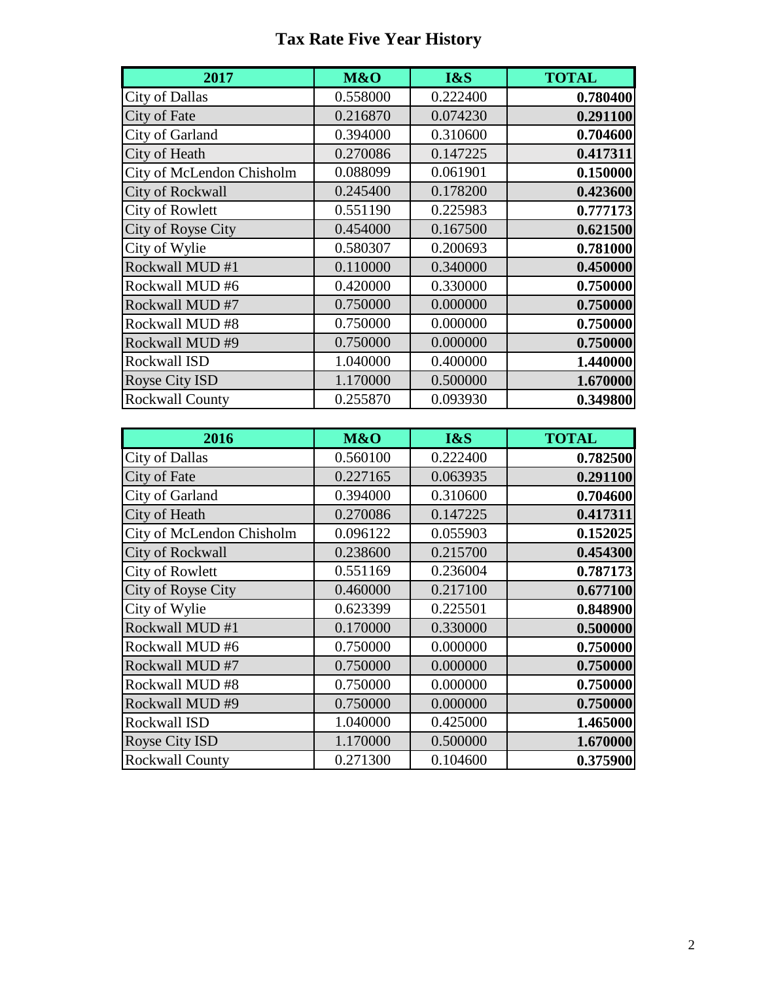## **Tax Rate Five Year History**

| 2017                      | M&O      | I&S      | <b>TOTAL</b> |
|---------------------------|----------|----------|--------------|
| <b>City of Dallas</b>     | 0.558000 | 0.222400 | 0.780400     |
| City of Fate              | 0.216870 | 0.074230 | 0.291100     |
| City of Garland           | 0.394000 | 0.310600 | 0.704600     |
| City of Heath             | 0.270086 | 0.147225 | 0.417311     |
| City of McLendon Chisholm | 0.088099 | 0.061901 | 0.150000     |
| <b>City of Rockwall</b>   | 0.245400 | 0.178200 | 0.423600     |
| <b>City of Rowlett</b>    | 0.551190 | 0.225983 | 0.777173     |
| City of Royse City        | 0.454000 | 0.167500 | 0.621500     |
| City of Wylie             | 0.580307 | 0.200693 | 0.781000     |
| Rockwall MUD #1           | 0.110000 | 0.340000 | 0.450000     |
| Rockwall MUD #6           | 0.420000 | 0.330000 | 0.750000     |
| Rockwall MUD #7           | 0.750000 | 0.000000 | 0.750000     |
| Rockwall MUD #8           | 0.750000 | 0.000000 | 0.750000     |
| Rockwall MUD #9           | 0.750000 | 0.000000 | 0.750000     |
| <b>Rockwall ISD</b>       | 1.040000 | 0.400000 | 1.440000     |
| <b>Royse City ISD</b>     | 1.170000 | 0.500000 | 1.670000     |
| <b>Rockwall County</b>    | 0.255870 | 0.093930 | 0.349800     |

| 2016                      | M&O      | I&S      | <b>TOTAL</b> |
|---------------------------|----------|----------|--------------|
| <b>City of Dallas</b>     | 0.560100 | 0.222400 | 0.782500     |
| City of Fate              | 0.227165 | 0.063935 | 0.291100     |
| City of Garland           | 0.394000 | 0.310600 | 0.704600     |
| City of Heath             | 0.270086 | 0.147225 | 0.417311     |
| City of McLendon Chisholm | 0.096122 | 0.055903 | 0.152025     |
| <b>City of Rockwall</b>   | 0.238600 | 0.215700 | 0.454300     |
| <b>City of Rowlett</b>    | 0.551169 | 0.236004 | 0.787173     |
| City of Royse City        | 0.460000 | 0.217100 | 0.677100     |
| City of Wylie             | 0.623399 | 0.225501 | 0.848900     |
| Rockwall MUD #1           | 0.170000 | 0.330000 | 0.500000     |
| Rockwall MUD #6           | 0.750000 | 0.000000 | 0.750000     |
| Rockwall MUD #7           | 0.750000 | 0.000000 | 0.750000     |
| Rockwall MUD #8           | 0.750000 | 0.000000 | 0.750000     |
| Rockwall MUD #9           | 0.750000 | 0.000000 | 0.750000     |
| Rockwall ISD              | 1.040000 | 0.425000 | 1.465000     |
| Royse City ISD            | 1.170000 | 0.500000 | 1.670000     |
| <b>Rockwall County</b>    | 0.271300 | 0.104600 | 0.375900     |